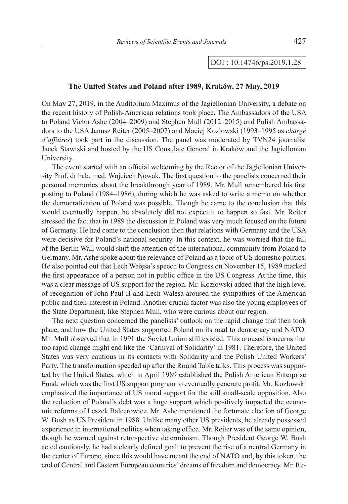## DOI : 10.14746/ps.2019.1.28

## **The United States and Poland after 1989, Kraków, 27 May, 2019**

On May 27, 2019, in the Auditorium Maximus of the Jagiellonian University, a debate on the recent history of Polish-American relations took place. The Ambassadors of the USA to Poland Victor Ashe (2004–2009) and Stephen Mull (2012–2015) and Polish Ambassadors to the USA Janusz Reiter (2005–2007) and Maciej Kozłowski (1993–1995 as *chargé d'affaires*) took part in the discussion. The panel was moderated by TVN24 journalist Jacek Stawiski and hosted by the US Consulate General in Kraków and the Jagiellonian University.

The event started with an official welcoming by the Rector of the Jagiellonian University Prof. dr hab. med. Wojciech Nowak. The first question to the panelists concerned their personal memories about the breakthrough year of 1989. Mr. Mull remembered his first posting to Poland (1984–1986), during which he was asked to write a memo on whether the democratization of Poland was possible. Though he came to the conclusion that this would eventually happen, he absolutely did not expect it to happen so fast. Mr. Reiter stressed the fact that in 1989 the discussion in Poland was very much focused on the future of Germany. He had come to the conclusion then that relations with Germany and the USA were decisive for Poland's national security. In this context, he was worried that the fall of the Berlin Wall would shift the attention of the international community from Poland to Germany. Mr. Ashe spoke about the relevance of Poland as a topic of US domestic politics. He also pointed out that Lech Wałęsa's speech to Congress on November 15, 1989 marked the first appearance of a person not in public office in the US Congress. At the time, this was a clear message of US support for the region. Mr. Kozłowski added that the high level of recognition of John Paul II and Lech Wałęsa aroused the sympathies of the American public and their interest in Poland. Another crucial factor was also the young employees of the State Department, like Stephen Mull, who were curious about our region.

The next question concerned the panelists' outlook on the rapid change that then took place, and how the United States supported Poland on its road to democracy and NATO. Mr. Mull observed that in 1991 the Soviet Union still existed. This aroused concerns that too rapid change might end like the 'Carnival of Solidarity' in 1981. Therefore, the United States was very cautious in its contacts with Solidarity and the Polish United Workers' Party. The transformation speeded up after the Round Table talks. This process was supported by the United States, which in April 1989 established the Polish American Enterprise Fund, which was the first US support program to eventually generate profit. Mr. Kozłowski emphasized the importance of US moral support for the still small-scale opposition. Also the reduction of Poland's debt was a huge support which positively impacted the economic reforms of Leszek Balcerowicz. Mr. Ashe mentioned the fortunate election of George W. Bush as US President in 1988. Unlike many other US presidents, he already possessed experience in international politics when taking office. Mr. Reiter was of the same opinion, though he warned against retrospective determinism. Though President George W. Bush acted cautiously, he had a clearly defined goal: to prevent the rise of a neutral Germany in the center of Europe, since this would have meant the end of NATO and, by this token, the end of Central and Eastern European countries' dreams of freedom and democracy. Mr. Re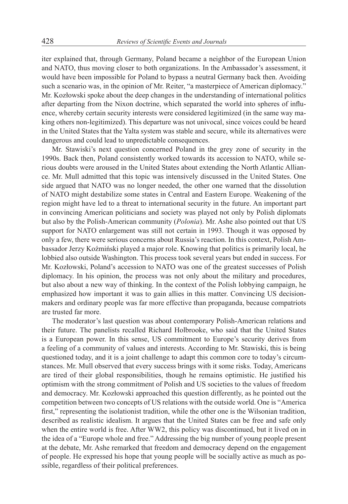iter explained that, through Germany, Poland became a neighbor of the European Union and NATO, thus moving closer to both organizations. In the Ambassador's assessment, it would have been impossible for Poland to bypass a neutral Germany back then. Avoiding such a scenario was, in the opinion of Mr. Reiter, "a masterpiece of American diplomacy." Mr. Kozłowski spoke about the deep changes in the understanding of international politics after departing from the Nixon doctrine, which separated the world into spheres of influence, whereby certain security interests were considered legitimized (in the same way making others non-legitimized). This departure was not univocal, since voices could be heard in the United States that the Yalta system was stable and secure, while its alternatives were dangerous and could lead to unpredictable consequences.

Mr. Stawiski's next question concerned Poland in the grey zone of security in the 1990s. Back then, Poland consistently worked towards its accession to NATO, while serious doubts were aroused in the United States about extending the North Atlantic Alliance. Mr. Mull admitted that this topic was intensively discussed in the United States. One side argued that NATO was no longer needed, the other one warned that the dissolution of NATO might destabilize some states in Central and Eastern Europe. Weakening of the region might have led to a threat to international security in the future. An important part in convincing American politicians and society was played not only by Polish diplomats but also by the Polish-American community (*Polonia*). Mr. Ashe also pointed out that US support for NATO enlargement was still not certain in 1993. Though it was opposed by only a few, there were serious concerns about Russia's reaction. In this context, Polish Ambassador Jerzy Koźmiński played a major role. Knowing that politics is primarily local, he lobbied also outside Washington. This process took several years but ended in success. For Mr. Kozłowski, Poland's accession to NATO was one of the greatest successes of Polish diplomacy. In his opinion, the process was not only about the military and procedures, but also about a new way of thinking. In the context of the Polish lobbying campaign, he emphasized how important it was to gain allies in this matter. Convincing US decisionmakers and ordinary people was far more effective than propaganda, because compatriots are trusted far more.

The moderator's last question was about contemporary Polish-American relations and their future. The panelists recalled Richard Holbrooke, who said that the United States is a European power. In this sense, US commitment to Europe's security derives from a feeling of a community of values and interests. According to Mr. Stawiski, this is being questioned today, and it is a joint challenge to adapt this common core to today's circumstances. Mr. Mull observed that every success brings with it some risks. Today, Americans are tired of their global responsibilities, though he remains optimistic. He justified his optimism with the strong commitment of Polish and US societies to the values of freedom and democracy. Mr. Kozłowski approached this question differently, as he pointed out the competition between two concepts of US relations with the outside world. One is "America first," representing the isolationist tradition, while the other one is the Wilsonian tradition, described as realistic idealism. It argues that the United States can be free and safe only when the entire world is free. After WW2, this policy was discontinued, but it lived on in the idea of a "Europe whole and free." Addressing the big number of young people present at the debate, Mr. Ashe remarked that freedom and democracy depend on the engagement of people. He expressed his hope that young people will be socially active as much as possible, regardless of their political preferences.